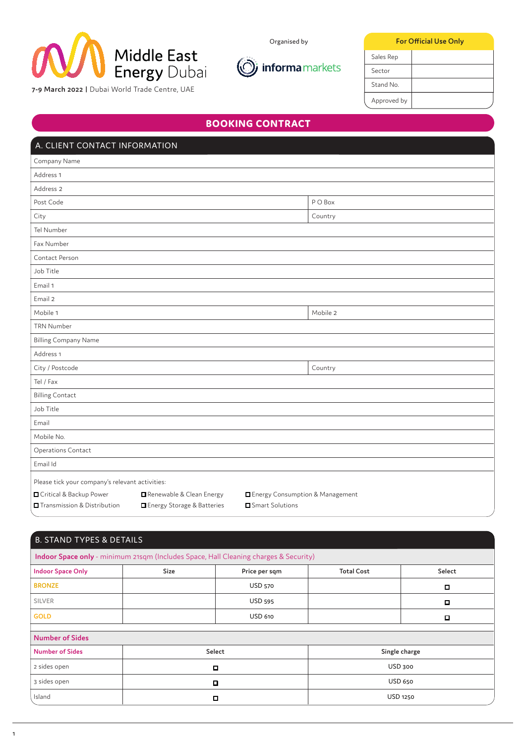

Organised by

**For Official Use Only**



Approved by Stand No. Sector Sales Rep

**7-9 March 2022 |** Dubai World Trade Centre, UAE

# **BOOKING CONTRACT**

| A. CLIENT CONTACT INFORMATION                   |                                     |                                 |          |  |
|-------------------------------------------------|-------------------------------------|---------------------------------|----------|--|
| Company Name                                    |                                     |                                 |          |  |
| Address 1                                       |                                     |                                 |          |  |
| Address 2                                       |                                     |                                 |          |  |
| Post Code                                       |                                     |                                 | P O Box  |  |
| City                                            |                                     |                                 | Country  |  |
| Tel Number                                      |                                     |                                 |          |  |
| Fax Number                                      |                                     |                                 |          |  |
| Contact Person                                  |                                     |                                 |          |  |
| Job Title                                       |                                     |                                 |          |  |
| Email 1                                         |                                     |                                 |          |  |
| Email 2                                         |                                     |                                 |          |  |
| Mobile 1                                        |                                     |                                 | Mobile 2 |  |
| <b>TRN Number</b>                               |                                     |                                 |          |  |
| <b>Billing Company Name</b>                     |                                     |                                 |          |  |
| Address 1                                       |                                     |                                 |          |  |
| City / Postcode                                 |                                     |                                 | Country  |  |
| Tel / Fax                                       |                                     |                                 |          |  |
| <b>Billing Contact</b>                          |                                     |                                 |          |  |
| Job Title                                       |                                     |                                 |          |  |
| Email                                           |                                     |                                 |          |  |
| Mobile No.                                      |                                     |                                 |          |  |
| Operations Contact                              |                                     |                                 |          |  |
| Email Id                                        |                                     |                                 |          |  |
| Please tick your company's relevant activities: |                                     |                                 |          |  |
| Critical & Backup Power                         | Renewable & Clean Energy            | Energy Consumption & Management |          |  |
| <b>O</b> Transmission & Distribution            | <b>O</b> Energy Storage & Batteries | Smart Solutions                 |          |  |

| <b>B. STAND TYPES &amp; DETAILS</b> |             |                                                                                      |                   |               |
|-------------------------------------|-------------|--------------------------------------------------------------------------------------|-------------------|---------------|
|                                     |             | Indoor Space only - minimum 21sqm (Includes Space, Hall Cleaning charges & Security) |                   |               |
| <b>Indoor Space Only</b>            | <b>Size</b> | Price per sqm                                                                        | <b>Total Cost</b> | Select        |
| <b>BRONZE</b>                       |             | <b>USD 570</b>                                                                       |                   | о             |
| <b>SILVER</b>                       |             | <b>USD 595</b>                                                                       |                   | о             |
| <b>GOLD</b>                         |             | <b>USD 610</b>                                                                       |                   | □             |
|                                     |             |                                                                                      |                   |               |
| <b>Number of Sides</b>              |             |                                                                                      |                   |               |
| <b>Number of Sides</b>              | Select      |                                                                                      |                   | Single charge |
| 2 sides open                        | Д           |                                                                                      | USD 300           |               |
| 3 sides open                        | $\Box$      |                                                                                      | <b>USD 650</b>    |               |
| Island                              | о           |                                                                                      |                   | USD 1250      |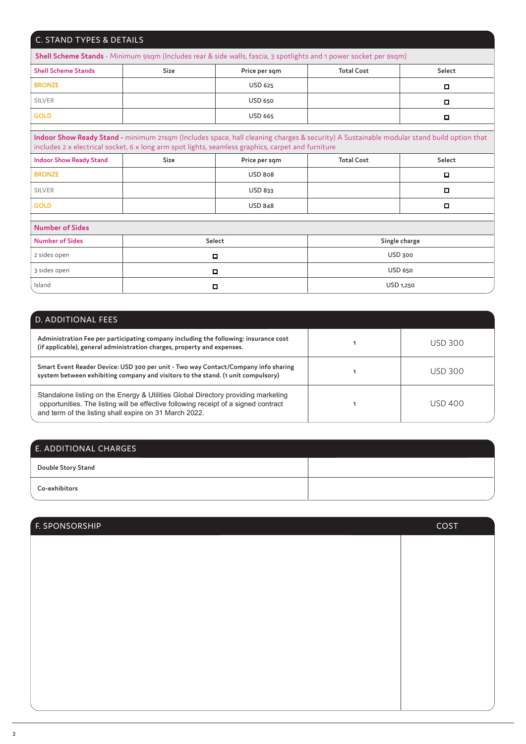| C. STAND TYPES & DETAILS                                                                                                                                                                                                                      |        |                |                                                                                                                   |           |
|-----------------------------------------------------------------------------------------------------------------------------------------------------------------------------------------------------------------------------------------------|--------|----------------|-------------------------------------------------------------------------------------------------------------------|-----------|
|                                                                                                                                                                                                                                               |        |                | Shell Scheme Stands - Minimum 9sqm (Includes rear & side walls, fascia, 3 spotlights and 1 power socket per 9sqm) |           |
| <b>Shell Scheme Stands</b>                                                                                                                                                                                                                    | Size   | Price per sqm  | <b>Total Cost</b>                                                                                                 | Select    |
| <b>BRONZE</b>                                                                                                                                                                                                                                 |        | <b>USD 625</b> |                                                                                                                   | $\Box$    |
| <b>SILVER</b>                                                                                                                                                                                                                                 |        | <b>USD 650</b> |                                                                                                                   | o         |
| <b>GOLD</b>                                                                                                                                                                                                                                   |        | <b>USD 665</b> |                                                                                                                   | □         |
| Indoor Show Ready Stand - minimum 21sqm (Includes space, hall cleaning charges & security) A Sustainable modular stand build option that<br>includes 2 x electrical socket, 6 x long arm spot lights, seamless graphics, carpet and furniture |        |                |                                                                                                                   |           |
| <b>Indoor Show Ready Stand</b>                                                                                                                                                                                                                | Size   | Price per sqm  | <b>Total Cost</b>                                                                                                 | Select    |
| <b>BRONZE</b>                                                                                                                                                                                                                                 |        | <b>USD 808</b> |                                                                                                                   | о         |
| <b>SILVER</b>                                                                                                                                                                                                                                 |        | <b>USD 833</b> |                                                                                                                   | $\Box$    |
| <b>GOLD</b>                                                                                                                                                                                                                                   |        | <b>USD 848</b> |                                                                                                                   | о         |
| <b>Number of Sides</b>                                                                                                                                                                                                                        |        |                |                                                                                                                   |           |
| <b>Number of Sides</b>                                                                                                                                                                                                                        | Select |                | Single charge                                                                                                     |           |
| 2 sides open                                                                                                                                                                                                                                  | □      |                | USD 300                                                                                                           |           |
| 3 sides open                                                                                                                                                                                                                                  | $\Box$ |                | <b>USD 650</b>                                                                                                    |           |
| Island                                                                                                                                                                                                                                        | $\Box$ |                |                                                                                                                   | USD 1,250 |

| D. ADDITIONAL FEES                                                                                                                                                                                                                 |  |                |  |
|------------------------------------------------------------------------------------------------------------------------------------------------------------------------------------------------------------------------------------|--|----------------|--|
| Administration Fee per participating company including the following: insurance cost<br>(if applicable), general administration charges, property and expenses.                                                                    |  | USD 300        |  |
| Smart Event Reader Device: USD 300 per unit - Two way Contact/Company info sharing<br>system between exhibiting company and visitors to the stand. (1 unit compulsory)                                                             |  | <b>USD 300</b> |  |
| Standalone listing on the Energy & Utilities Global Directory providing marketing<br>opportunities. The listing will be effective following receipt of a signed contract<br>and term of the listing shall expire on 31 March 2022. |  | USD 400        |  |

| E. ADDITIONAL CHARGES     |  |
|---------------------------|--|
| <b>Double Story Stand</b> |  |
| Co-exhibitors             |  |

| F. SPONSORSHIP | COST |
|----------------|------|
|                |      |
|                |      |
|                |      |
|                |      |
|                |      |
|                |      |
|                |      |
|                |      |
|                |      |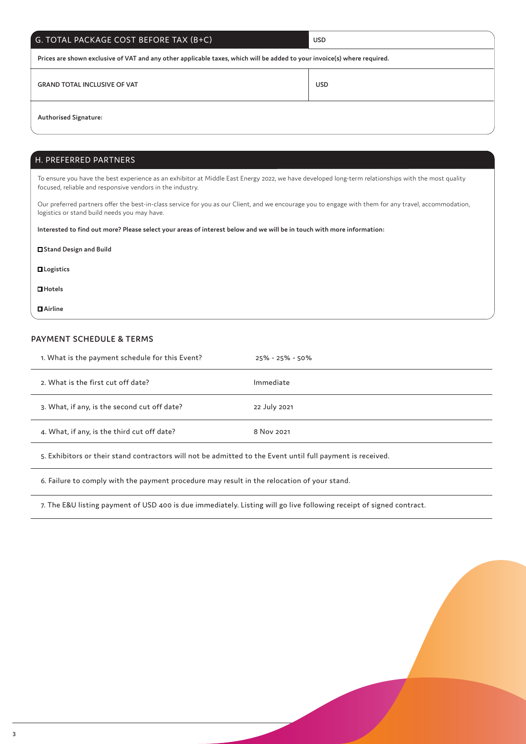| G. TOTAL PACKAGE COST BEFORE TAX (B+C) | USD |
|----------------------------------------|-----|
|----------------------------------------|-----|

**Prices are shown exclusive of VAT and any other applicable taxes, which will be added to your invoice(s) where required.**

**GRAND TOTAL INCLUSIVE OF VAT USD** 

### **Authorised Signature:**

### H. PREFERRED PARTNERS

To ensure you have the best experience as an exhibitor at Middle East Energy 2022, we have developed long-term relationships with the most quality focused, reliable and responsive vendors in the industry.

Our preferred partners offer the best-in-class service for you as our Client, and we encourage you to engage with them for any travel, accommodation, logistics or stand build needs you may have.

**Interested to find out more? Please select your areas of interest below and we will be in touch with more information:**

| □ Stand Design and Build |  |
|--------------------------|--|
| <b>QLogistics</b>        |  |
| $\Box$ Hotels            |  |
| $\blacksquare$ Airline   |  |

### **PAYMENT SCHEDULE & TERMS**

| 1. What is the payment schedule for this Event? | $25\% - 25\% - 50\%$ |
|-------------------------------------------------|----------------------|
| 2. What is the first cut off date?              | Immediate            |
| 3. What, if any, is the second cut off date?    | 22 July 2021         |
| 4. What, if any, is the third cut off date?     | 8 Nov 2021           |
|                                                 |                      |

5. Exhibitors or their stand contractors will not be admitted to the Event until full payment is received.

6. Failure to comply with the payment procedure may result in the relocation of your stand.

7. The E&U listing payment of USD 400 is due immediately. Listing will go live following receipt of signed contract.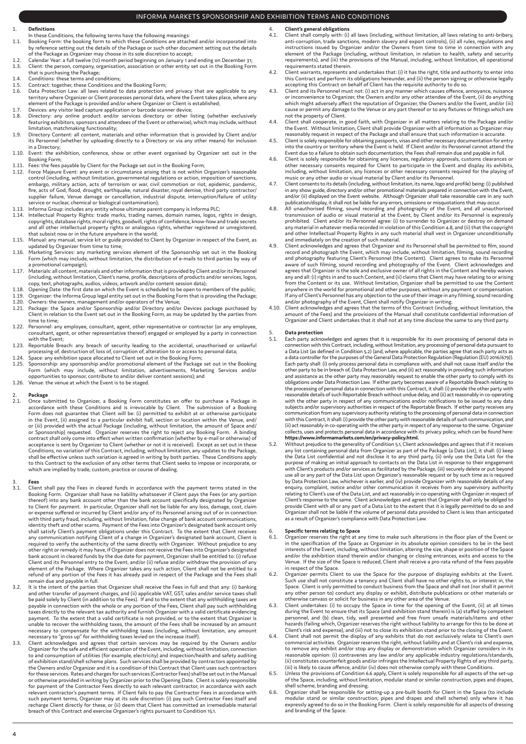### INFORMA MARKETS SPONSORSHIP AND EXHIBITION TERMS AND CONDITIONS

- 1. **Definitions**
- 
- In these Conditions, the following terms have the following meanings:<br>1.1. Booking Form: the booking form to which these Conditions are attached and/or incorporated into<br>by reference setting out the details of the Packa of the Package as Organizer may choose in its sole discretion to accept;
- 1.2. Calendar Year: a full twelve (12) month period beginning on January 1 and ending on December 31; 1.3. Client: the person, company, organisation, association or other entity set out in the Booking Form
- 
- that is purchasing the Package; 1.4. Conditions: these terms and conditions; 1.5. Contract: together, these Conditions and the Booking Form;
- 1.6. Data Protection Law: all laws related to data protection and privacy that are applicable to any territory where Organizer or Client processes personal data, where the Event takes place, where any element of the Package is provided and/or where Organizer or Client is established; 1.7. Devices: any visitor lead capture application or barcode scanner device;
- 
- 1.8. Directory: any online product and/or services directory or other listing (whether exclusively featuring exhibitors, sponsors and attendees of the Event or otherwise), which may include, without limitation, matchmaking functionality; 1.9. Directory Content: all content, materials and other information that is provided by Client and/or
- its Personnel (whether by uploading directly to a Directory or via any other means) for inclusion in a Directory;
- 1.10. Event: the exhibition, conference, show or other event organised by Organizer set out in the Booking Form;
- 
- 1.11. Fees: the fees payable by Client for the Package set out in the Booking Form; 1.12. Force Majeure Event: any event or circumstance arising that is not within Organizer's reasonable control (including, without limitation, governmental regulations or action, imposition of sanctions, embargo, military action, acts of terrorism or war, civil commotion or riot, epidemic, pandemic, fire, acts of God, flood, drought, earthquake, natural disaster, royal demise, third party contractor/ supplier failure, Venue damage or cancellation, industrial dispute, interruption/failure of utility<br>service or nuclear, chemical or biological contamination);<br>1.13. Informa Group: includes any entity whose ultimate parent
- 
- 1.14. Intellectual Property Rights: trade marks, trading names, domain names, logos, rights in design,<br>copyrights, database rights, moral rights, goodwill, rights of confidence, know-how and trade secrets<br>and all other int that subsist now or in the future anywhere in the world; 1.15. Manual: any manual, service kit or guide provided to Client by Organizer in respect of the Event, as
- 
- updated by Organizer from time to time;<br>1.16. Marketing Services: any marketing services element of the Sponsorship set out in the Booking.<br>Form (which may include, without limitation, the distribution of e-mails to thir a promotional campaign);
- 1.17. Materials: all content, materials and other information that is provided by Client and/or its Personnel (including, without limitation, Client's name, profile, descriptions of products and/or services, logos, copy, text, photographs, audios, videos, artwork and/or content session data);
- 
- 1.18. Opening Date: the first date on which the Event is scheduled to be open to members of the public; 1.19. Organizer: the Informa Group legal entity set out in the Booking Form that is providing the Package;
- 
- 1.20. Owners: the owners, management and/or operators of the Venue; 1.21. Package: the Space and/or Sponsorship and/or Directory and/or Devices package purchased by Client in relation to the Event set out in the Booking Form, as may be updated by the parties from time to time;
- 1.22. Personnel: any employee, consultant, agent, other representative or contractor (or any employee, consultant, agent, or other representative thereof) engaged or employed by a party in connection with the Event; 1.23. Reportable Breach: any breach of security leading to the accidental, unauthorised or unlawful
- processing of, destruction of, loss of, corruption of, alteration to or access to personal data;
- 
- 1.24. Space: any exhibition space allocated to Client set out in the Booking Form; 1.25. Sponsorship: any sponsorship and/or promotional element of the Package set out in the Booking Form (which may include, without limitation, advertisements, Marketing Services and/or opportunities to sponsor, contribute to and/or deliver content sessions); and 1.26. Venue: the venue at which the Event is to be staged.
- 

# 2. **Package**

2.1. Once submitted to Organizer, a Booking Form constitutes an offer to purchase a Package in accordance with these Conditions and is irrevocable by Client. The submission of a Booking Form does not guarantee that Client or (iii) provided with the actual Package (including, without limitation, the amount of Space and/ or Sponsorship) requested. Organizer reserves the right to reject any Booking Form. A binding contract shall only come into effect when written confirmation (whether by e-mail or otherwise) of acceptance is sent by Organizer to Client (whether or not it is received). Except as set out in these Conditions, no variation of this Contract, including, without limitation, any updates to the Package, shall be effective unless such variation is agreed in writing by both parties. These Conditions apply<br>to this Contract to the exclusion of any other terms that Client seeks to impose or incorporate, or<br>which are implied by

- 3. **Fees** 3.1. Client shall pay the Fees in cleared funds in accordance with the payment terms stated in the Booking Form. Organizer shall have no liability whatsoever if Client pays the Fees (or any portion thereof) into any bank account other than the bank account specifically designated by Organizer<br>to Client for payment. In particular, Organizer shall not be liable for any loss, damage, cost, claim<br>or expense suffered or i other right or remedy it may have, if Organizer does not receive the Fees into Organizer's designated bank account in cleared funds by the due date for payment, Organizer shall be entitled to: (i) refuse Client and its Personnel entry to the Event, and/or (ii) refuse and/or withdraw the provision of any element of the Package. Where Organizer takes any such action, Client shall not be entitled to a refund of any portion of the Fees it has already paid in respect of the Package and the Fees shall remain due and payable in full.
- 3.2. It is the intent of the parties that Organizer shall receive the Fees in full and that any: (i) banking and other transfer of payment charges, and (ii) applicable VAT, GST, sales and/or service taxes shall<br>be paid solely by Client (in addition to the Fees). If and to the extent that any withholding taxes are<br>payable in conne taxes directly to the relevant tax authority and furnish Organizer with a valid certificate evidencing<br>payment. To the extent that a valid certificate is not provided, or to the extent that Organizer is<br>unable to recover t necessary to compensate for the withholding taxes (including, without limitation, any amount<br>necessary to "gross up" for withholding taxes levied on the increase itself).<br>3.3. Client acknowledges and agrees that certain se
- Organizer for the safe and efficient operation of the Event, including, without limitation, connection to and consumption of utilities (for example, electricity) and inspection/health and safety auditing of exhibition stand/shell scheme plans. Such services shall be provided by contractors appointed by the Owners and/or Organizer and it is a condition of this Contract that Client uses such contractors for these services. Rates and charges for such services (Contractor Fees) shall be set out in the Manual<br>or otherwise provided in writing by Organizer prior to the Opening Date. Client is solely responsible<br>for payment of such payment terms, Organizer may at its sole discretion: (i) pay such Contractor Fees itself and recharge Client directly for these, or (ii) deem that Client has committed an irremediable material breach of this Contract and exercise Organizer's rights pursuant to Condition 15.1.
- 4. **Client's general obligations**<br>4.1. Client shall comply with: (i) all laws (including, without limitation, all laws relating to anti-bribery,<br>anti-corruption, trade sanctions, modern slavery and export controls), (ii) a element of the Package (including, without limitation, in relation to health, safety and security requirements), and (iii) the provisions of the Manual, including, without limitation, all operational requirements stated therein. 4.2. Client warrants, represents and undertakes that: (i) it has the right, title and authority to enter into
- this Contract and perform its obligations hereunder, and (ii) the person signing or otherwise legally accepting this Contract on behalf of Client has the requisite authority to do so.
- 4.3. Client and its Personnel must not: (i) act in any manner which causes offence, annoyance, nuisance or inconvenience to Organizer, the Owners and/or any other attendee of the Event, (ii) do anything which might adversely affect the reputation of Organizer, the Owners and/or the Event, and/or (iii) cause or permit any damage to the Venue or any part thereof or to any fixtures or fittings which are not the property of Client. 4.4. Client shall cooperate, in good faith, with Organizer in all matters relating to the Package and/or
- the Event. Without limitation, Client shall provide Organizer with all information as Organizer may reasonably request in respect of the Package and shall ensure that such information is accurate.
- 4.5. Client is solely responsible for obtaining passports, visas and other necessary documentation for entry into the country or territory where the Event is held. If Client and/or its Personnel cannot attend the
- Event due to a failure to obtain such documentation, the Fees shall remain due and payable in full.<br>4.6. Client is solely responsible for obtaining any licences, regulatory approvals, customs clearances or<br>6. other necessa
- music or any other audio or visual material by Client and/or its Personnel. 4.7. Client consents to its details (including, without limitation, its name, logo and profile) being: (i) published in any show guide, directory and/or other promotional materials prepared in connection with the Event, and/or (ii) displayed on the Event website. Although Organizer shall take reasonable care in any such
- publication/display, it shall not be liable for any errors, omissions or misquotations that may occur.<br>4.8. All unauthorised filming, sound recording and photography of the Event, and all unauthorised<br>transmission of audio any material in whatever media recorded in violation of this Condition 4.8, and (ii) that the copyright and other Intellectual Property Rights in any such material shall vest in Organizer unconditionally
- and immediately on the creation of such material. 4.9. Client acknowledges and agrees that Organizer and its Personnel shall be permitted to film, sound record and photograph the Event, which may include, without limitation, filming, sound recording and photography featuring Client's Personnel (the Content). Client agrees to make its Personnel aware of such filming, sound recording and photography of the Event. Client acknowledges and agrees that Organizer is the sole and exclusive owner of all rights in the Content and hereby waives any and all: (i) rights in and to such Content, and (ii) claims that Client may have relating to or arising from the Content or its use. Without limitation, Organizer shall be permitted to use the Content anywhere in the world for promotional and other purposes, without any payment or compensation. If any of Client's Personnel has any objection to the use of their image in any filming, sound recording and/or photography of the Event, Client shall notify Organizer in writing. 4.10. Client acknowledges and agrees that the terms of this Contract (including, without limitation, the
- amount of the Fees) and the provisions of the Manual shall constitute confidential information of Organizer and Client undertakes that it shall not at any time disclose the same to any third party.

### 5. **Data protection**

- 5.1. Each party acknowledges and agrees that it is responsible for its own processing of personal data in connection with this Contract, including, without limitation, any processing of personal data pursuant to a Data Lis Each party shall: (i) only process personal data in compliance with, and shall not cause itself and/or the other party to be in breach of, Data Protection Law, and (ii) act reasonably in providing such information and assistance as the other party may reasonably request to enable the other party to comply with its obligations under Data Protection Law. If either party becomes aware of a Reportable Breach relating to the processing of personal data in connection with this Contract, it shall: (i) provide the other party with reasonable details of such Reportable Breach without undue delay, and (ii) act reasonably in co-operating with the other party in respect of any communications and/or notifications to be issued to any data subjects and/or supervisory authorities in respect of the Reportable Breach. If either party receives any communication from any supervisory authority relating to the processing of personal data in connection with this Contract, it shall: (i) provide the other party with reasonable details of such communication, and (ii) act reasonably in co-operating with the other party in respect of any response to the same. Organizer collects, uses and protects personal data in accordance with its privacy policy, which can be found here: **https://www.informamarkets.com/en/privacy-policy.html.**  5.2. Without prejudice to the generality of Condition 5.1, Client acknowledges and agrees that if it receives
- any list containing personal data from Organizer as part of the Package (a Data List), it shall: (i) keep the Data List confidential and not disclose it to any third party, (ii) only use the Data List for the purpose of making an initial approach to contacts on the Data List in response to their engagement with Client's products and/or services as facilitated by the Package, (iii) securely delete or put beyond use all or any part of the Data List upon Organizer's reasonable request or by such time as is required by Data Protection Law, whichever is earlier, and (iv) provide Organizer with reasonable details of any enquiry, complaint, notice and/or other communication it receives from any supervisory authority relating to Client's use of the Data List, and act reasonably in co-operating with Organizer in respect of Client's response to the same. Client acknowledges and agrees that Organizer shall only be obliged to provide Client with all or any part of a Data List to the extent that it is legally permitted to do so and Organizer shall not be liable if the volume of personal data provided to Client is less than anticipated as a result of Organizer's compliance with Data Protection Law.

# 6. **Specific terms relating to Space**

- 6.1. Organizer reserves the right at any time to make such alterations in the floor plan of the Event or in the specification of the Space as Organizer in its absolute opinion considers to be in the best interests of the Event, including, without limitation, altering the size, shape or position of the Space and/or the exhibition stand therein and/or changing or closing entrances, exits and access to the Venue. If the size of the Space is reduced, Client shall receive a pro-rata refund of the Fees payable in respect of the Space.
- 6.2. Organizer permits Client to use the Space for the purpose of displaying exhibits at the Event. Such use shall not constitute a tenancy and Client shall have no other rights to, or interest in, the Space. Client is only permitted to conduct business from the Space and shall not (nor shall it permit any other person to) conduct any display or exhibit, distribute publications or other materials or
- otherwise canvass or solicit for business in any other area of the Venue. 6.3. Client undertakes: (i) to occupy the Space in time for the opening of the Event, (ii) at all times during the Event to ensure that its Space (and exhibition stand therein) is (a) staffed by competent personnel, and (b) clean, tidy, well presented and free from unsafe materials/items and other hazards (failing which, Organizer reserves the right without liability to arrange for this to be done at Client's risk and expense), and (iii) not to close its exhibition stand prior to the closing of the Event.
- 6.4. Client shall not permit the display of any exhibits that do not exclusively relate to Client's own commercial activities. Organizer reserves the right, without liability and at Client's risk and expense, to remove any exhibit and/or stop any display or demonstration which Organizer considers in its<br>reasonable opinion: (i) contravenes any law and/or any applicable industry regulations/standards,<br>(ii) constitutes counterfeit
- 6.5. Unless the provisions of Condition 6.6 apply, Client is solely responsible for all aspects of the set-up of the Space, including, without limitation, modular stand or similar construction, pipes and drapes,
- shell scheme, branding and dressing.<br>6.6. Organizer shall be responsible for setting-up a pre-built booth for Client in the Space (to include<br>modular stand or similar construction, pipes and drapes and shell scheme) only w and branding of the Space.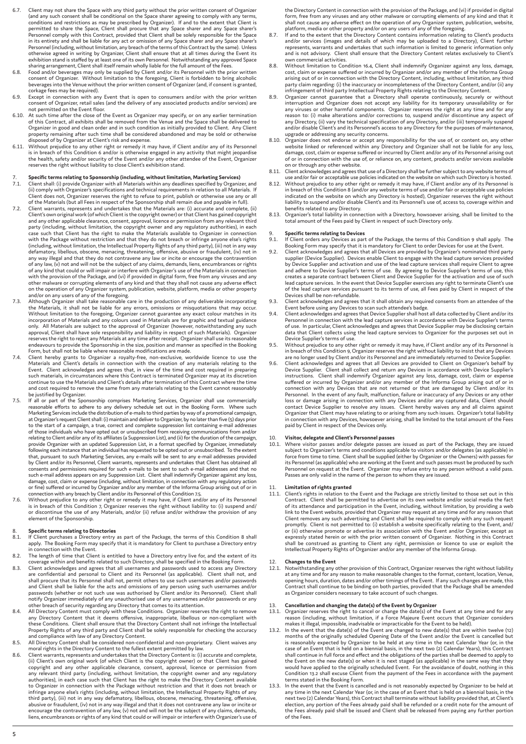- 6.7. Client may not share the Space with any third party without the prior written consent of Organizer (and any such consent shall be conditional on the Space sharer agreeing to comply with any terms,<br>conditions and restrictions as may be prescribed by Organizer). If and to the extent that Client is<br>permitted to share the S Personnel comply with this Contract, provided that Client shall be solely responsible for the Space in its entirety and shall be liable for any act or omission of any Space sharer and any Space sharer's Personnel (including, without limitation, any breach of the terms of this Contract by the same). Unless otherwise agreed in writing by Organizer, Client shall ensure that at all times during the Event its exhibition stand is staffed by at least one of its own Personnel. Notwithstanding any approved Space
- sharing arrangement, Client shall itself remain wholly liable for the full amount of the Fees. 6.8. Food and/or beverages may only be supplied by Client and/or its Personnel with the prior written consent of Organizer. Without limitation to the foregoing, Client is forbidden to bring alcoholic beverages into the Venue without the prior written consent of Organizer (and, if consent is granted, corkage fees may be required). 6.9. Except in connection with any Event that is open to consumers and/or with the prior written
- consent of Organizer, retail sales (and the delivery of any associated products and/or services) are
- not permitted on the Event floor.<br>6.10. At such time after the close of the Event as Organizer may specify, or on any earlier termination<br>of this Contract, all exhibits shall be removed from the Venue and the Space shall Organizer in good and clean order and in such condition as initially provided to Client. Any Client<br>property remaining after such time shall be considered abandoned and may be sold or otherwise
- disposed of by Organizer at Client's risk and expense. 6.11. Without prejudice to any other right or remedy it may have, if Client and/or any of its Personnel is in breach of this Condition 6 and/or is otherwise engaged in any activity that might jeopardise<br>the health, safety and/or security of the Event and/or any other attendee of the Event, Organizer reserves the right without liability to close Client's exhibition stand.

# 7. **Specific terms relating to Sponsorship (including, without limitation, Marketing Services)** 7.1. Client shall: (i) provide Organizer with all Materials within any deadlines specified by Organizer, and

- (ii) comply with Organizer's specifications and technical requirements in relation to all Materials. If<br>Client does not, Organizer reserves the right to refuse to print, publish or otherwise use any or all<br>of the Materials
- Client's own original work (of which Client is the copyright owner) or that Client has gained copyright and any other applicable clearance, consent, approval, licence or permission from any relevant third party (including, without limitation, the copyright owner and any regulatory authorities), in each case such that Client has the right to make the Materials available to Organizer in connection with the Package without restriction and that they do not breach or infringe anyone else's rights (including, without limitation, the Intellectual Property Rights of any third party), (iii) not in any way defamatory, libellous, obscene, menacing, threatening, offensive, abusive or fraudulent, (iv) not in any way illegal and that they do not contravene any law or incite or encourage the contravention of any law, (v) not and will not be the subject of any claims, demands, liens, encumbrances or rights of any kind that could or will impair or interfere with Organizer's use of the Materials in connection with the provision of the Package, and (vi) if provided in digital form, free from any viruses and any other malware or corrupting elements of any kind and that they shall not cause any adverse effect
- on the operation of any Organizer system, publication, website, platform, media or other property<br>and/or on any users of any of the foregoing.<br>7.3. Although Organizer shall take reasonable care in the production of any del Without limitation to the foregoing, Organizer cannot guarantee any exact colour matches in its<br>incorporation of Materials and any colours used in Materials are for graphic and textual guidance<br>only. All Materials are subj reserves the right to reject any Materials at any time after receipt. Organizer shall use its reasonable endeavours to provide the Sponsorship in the size, position and manner as specified in the Booking
- Form, but shall not be liable where reasonable modifications are made. 7.4. Client hereby grants to Organizer a royalty-free, non-exclusive, worldwide licence to use the Materials and Client's details in connection with the creation of any materials relating to the Event. Client acknowledges and agrees that, in view of the time and cost required in preparing such materials, in circumstances where this Contract is terminated Organizer may at its discretion continue to use the Materials and Client's details after termination of this Contract where the time and cost required to remove the same from any materials relating to the Event cannot reasonably be justified by Organizer.
- 7.5. If all or part of the Sponsorship comprises Marketing Services, Organizer shall use commercially reasonable efforts to adhere to any delivery schedule set out in the Booking Form. Where such Marketing Services include to the start of a campaign, a true, correct and complete suppression list containing e-mail addresses of those individuals who have opted out or unsubscribed from receiving communications from and/or relating to Client and/or any of its affiliates (a Suppression List), and (ii) for the duration of the campaign,<br>provide Organizer with an updated Suppression List, in a format specified by Organizer, immediately<br>following that, pursuant to such Marketing Services, any e-mails will be sent to any e-mail addresses provided by Client and/or its Personnel, Client warrants, represents and undertakes that Client has obtained all consents and permissions required for such e-mails to be sent to such e-mail addresses and that no such e-mail address appears on any Suppression List. Client shall indemnify Organizer against any loss,<br>damage, cost, claim or expense (including, without limitation, in connection with any regulatory action or fine) suffered or incurred by Organizer and/or any member of the Informa Group arising out of or in connection with any breach by Client and/or its Personnel of this Condition 7.5.
- 7.6. Without prejudice to any other right or remedy it may have, if Client and/or any of its Personnel is in breach of this Condition 7, Organizer reserves the right without liability to: (i) suspend and/ or discontinue the use of any Materials, and/or (ii) refuse and/or withdraw the provision of any element of the Sponsorship.

- 8. **Specific terms relating to Directories** 8.1. If Client purchases a Directory entry as part of the Package, the terms of this Condition 8 shall apply. The Booking Form may specify that it is mandatory for Client to purchase a Directory entry in connection with the Event.
- 8.2. The length of time that Client is entitled to have a Directory entry live for, and the extent of its coverage within and benefits related to such Directory, shall be specified in the Booking Form. 8.3. Client acknowledges and agrees that all usernames and passwords used to access any Directory
- are confidential and personal to Client and its Personnel (as applicable). Client shall not, and shall procure that its Personnel shall not, permit others to use such usernames and/or passwords and Client shall be liable for the acts and omissions of any person using such usernames and/or passwords (whether or not such use was authorised by Client and/or its Personnel). Client shall notify Organizer immediately of any unauthorised use of any usernames and/or passwords or any other breach of security regarding any Directory that comes to its attention.
- 8.4. All Directory Content must comply with these Conditions. Organizer reserves the right to remove<br>any Directory Content that it deems offensive, inappropriate, libellous or non-compliant with<br>these Conditions. Client sh Property Rights of any third party and Client shall be solely responsible for checking the accuracy and compliance with law of any Directory Content. 8.5. All Directory Content shall be considered non-confidential and non-proprietary. Client waives any
- 
- moral rights in the Directory Content to the fullest extent permitted by law. 8.6. Client warrants, represents and undertakes that the Directory Content is: (i) accurate and complete, (ii) Client's own original work (of which Client is the copyright owner) or that Client has gained<br>copyright and any other applicable clearance, consent, approval, licence or permission from<br>any relevant third party (inclu to Organizer in connection with the Package without restriction and that it does not breach or infringe anyone else's rights (including, without limitation, the Intellectual Property Rights of any third party), (iii) not in any way defamatory, libellous, obscene, menacing, threatening, offensive,<br>abusive or fraudulent, (iv) not in any way illegal and that it does not contravene any law or incite or<br>encourage the con liens, encumbrances or rights of any kind that could or will impair or interfere with Organizer's use of

the Directory Content in connection with the provision of the Package, and (vi) if provided in digital form, free from any viruses and any other malware or corrupting elements of any kind and that it shall not cause any adverse effect on the operation of any Organizer system, publication, website, platform, media or other property and/or on any users of any of the foregoing. 8.7. If and to the extent that the Directory Content contains information relating to Client's products

- and/or services (images and details of which may be uploaded to a Directory), Client further represents, warrants and undertakes that such information is limited to generic information only and is not advisory. Client shall ensure that the Directory Content relates exclusively to Client's own commercial activities.
- 8.8. Without limitation to Condition 16.4, Client shall indemnify Organizer against any loss, damage, cost, claim or expense suffered or incurred by Organizer and/or any member of the Informa Group arising out of or in con
- infringement of third party Intellectual Property Rights relating to the Directory Content. 8.9. Organizer cannot guarantee that a Directory shall operate continuously, securely or without interruption and Organizer does not accept any liability for its temporary unavailability or for any viruses or other harmful components. Organizer reserves the right at any time and for any reason to: (i) make alterations and/or corrections to, suspend and/or discontinue any aspect of any Directory, (ii) vary the technical specification of any Directory, and/or (iii) temporarily suspend and/or disable Client's and its Personnel's access to any Directory for the purposes of maintenance, upgrade or addressing any security concerns.
- 8.10. Organizer does not endorse or accept any responsibility for the use of, or content on, any other website linked or referenced within any Directory and Organizer shall not be liable for any loss,<br>damage, cost, claim o of or in connection with the use of, or reliance on, any content, products and/or services available
- on or through any other website. 8.11. Client acknowledges and agrees that use of a Directory shall be further subject to any website terms of
- use and/or fair or acceptable use policies indicated on the website on which such Directory is hosted. 8.12. Without prejudice to any other right or remedy it may have, if Client and/or any of its Personnel is in breach of this Condition 8 (and/or any website terms of use and/or fair or acceptable use policies indicated on the website on which any Directory is hosted), Organizer reserves the right without liability to suspend and/or disable Client's and its Personnel's use of, access to, coverage within and benefits related to any Directory.
- 8.13. Organizer's total liability in connection with a Directory, howsoever arising, shall be limited to the total amount of the Fees paid by Client in respect of such Directory only.

### 9. **Specific terms relating to Devices**

- 9.1. If Client orders any Devices as part of the Package, the terms of this Condition 9 shall apply. The Booking Form may specify that it is mandatory for Client to order Devices for use at the Event.
- 9.2. Client acknowledges and agrees that all Devices are provided by Organizer's nominated third party supplier (Device Supplier). Devices enable Client to engage with the lead capture services provided by Device Supplier and activation and use of the lead capture services shall require Client to agree and adhere to Device Supplier's terms of use. By agreeing to Device Supplier's terms of use, this creates a separate contract between Client and Device Supplier for the activation and use of such lead capture services. In the event that Device Supplier exercises any right to terminate Client's use of the lead capture services pursuant to its terms of use, all Fees paid by Client in respect of the Devices shall be non-refundable.
- 9.3. Client acknowledges and agrees that it shall obtain any required consents from an attendee of the Event before using any Devices to scan such attendee's badge.
- 9.4. Client acknowledges and agrees that Device Supplier shall host all data collected by Client and/or its Personnel in connection with the lead capture services in accordance with Device Supplier's terms of use. In particular, Client acknowledges and agrees that Device Supplier may be disclosing certain data that Client collects using the lead capture services to Organizer for the purposes set out in Device Supplier's terms of use. 9.5. Without prejudice to any other right or remedy it may have, if Client and/or any of its Personnel is
- in breach of this Condition 9, Organizer reserves the right without liability to insist that any Devices are no longer used by Client and/or its Personnel and are immediately returned to Device Supplier.
- 9.6. Client acknowledges and agrees that all Devices are provided to Client on Organizer's behalf by Device Supplier. Client shall collect and return any Devices in accordance with Device Supplier's instructions. Client shall indemnify Organizer against any loss, damage, cost, claim or expense suffered or incurred by Organizer and/or any member of the Informa Group arising out of or in connection with any Devices that are not returned or that are damaged by Client and/or its Personnel. In the event of any fault, malfunction, failure or inaccuracy of any Devices or any other loss or damage arising in connection with any Devices and/or any captured data, Client should<br>Contact Device Supplier to resolve any issues. Client hereby waives any and all claims against<br>Organizer that Client may have re paid by Client in respect of the Devices only.

10. **Visitor, delegate and Client's Personnel passes** 10.1. Where visitor passes and/or delegate passes are issued as part of the Package, they are issued subject to Organizer's terms and conditions applicable to visitors and/or delegates (as applicable) in force from time to time. Client shall be supplied (either by Organizer or the Owners) with passes for its Personnel (as applicable) who are working at the Event and such passes must be produced by such Personnel on request at the Event. Organizer may refuse entry to any person without a valid pass. Passes are only valid in the name of the person to whom they are issued.

11. Limitation of rights granted<br>11.1. Client's rights in relation to the Event and the Package are strictly limited to those set out in this<br>Contract. Client shall be permitted to advertise on its own website and/or socia of its attendance and participation in the Event, including, without limitation, by providing a web link to the Event website, provided that Organizer may request at any time and for any reason that Client removes any such advertising and Client shall be required to comply with any such request promptly. Client is not permitted to: (i) establish a website specifically relating to the Event, and/ or (ii) otherwise promote or advertise its association with the Event and/or Organizer, except as expressly stated herein or with the prior written consent of Organizer. Nothing in this Contract<br>shall be construed as granting to Client any right, permission or licence to use or exploit the<br>Intellectual Property Rights

12. **Changes to the Event** 12.1. Notwithstanding any other provision of this Contract, Organizer reserves the right without liability at any time and for any reason to make reasonable changes to the format, content, location, Venue, opening hours, duration, dates and/or other timings of the Event. If any such changes are made, this Contract shall continue to be binding on both parties, provided that the Package shall be amended as Organizer considers necessary to take account of such changes.

# 13. **Cancellation and changing the date(s) of the Event by Organizer**

- 13.1. Organizer reserves the right to cancel or change the date(s) of the Event at any time and for any reason (including, without limitation, if a Force Majeure Event occurs that Organizer considers makes it illegal, impossible, inadvisable or impracticable for the Event to be held).
- 13.2. In the event that the date(s) of the Event are changed to new date(s) that are within twelve (12) months of the originally scheduled Opening Date of the Event and/or the Event is cancelled but<br>is reasonably expected case of an Event that is held on a biennial basis, in the next two (2) Calendar Years), this Contract shall continue in full force and effect and the obligations of the parties shall be deemed to apply to the Event on the new date(s) or when it is next staged (as applicable) in the same way that they would have applied to the originally scheduled Event. For the avoidance of doubt, nothing in this Condition 13.2 shall excuse Client from the payment of the Fees in accordance with the payment terms stated in the Booking Form.
- 13.3. In the event that the Event is cancelled and is not reasonably expected by Organizer to be held at any time in the next Calendar Year (or, in the case of an Event that is held on a biennial basis, in the next two (2) Calendar Years), this Contract shall terminate without liability provided that, at Client's<br>election, any portion of the Fees already paid shall be refunded or a credit note for the amount of<br>the Fees already of the Fees.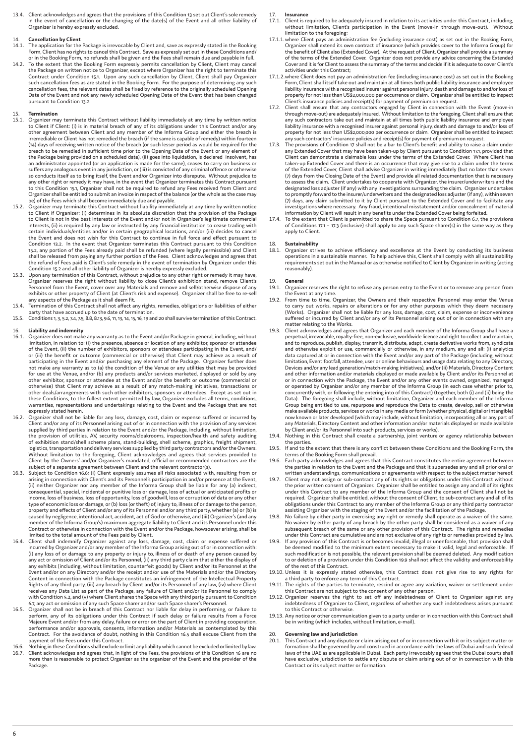13.4. Client acknowledges and agrees that the provisions of this Condition 13 set out Client's sole remedy in the event of cancellation or the changing of the date(s) of the Event and all other liability of Organizer is hereby expressly excluded.

### **Cancellation by Client**

- 14.1. The application for the Package is irrevocable by Client and, save as expressly stated in the Booking Form, Client has no rights to cancel this Contract. Save as expressly set out in these Conditions and/ or in the Booking Form, no refunds shall be given and the Fees shall remain due and payable in full.
- 14.2. To the extent that the Booking Form expressly permits cancellation by Client, Client may cancel the Package on written notice to Organizer, except where Organizer has the right to terminate this Contract under Condition 15.1. Upon any such cancellation by Client, Client shall pay Organizer such cancellation fees as are stated in the Booking Form. For the purpose of determining any such<br>cancellation fees, the relevant dates shall be fixed by reference to the originally scheduled Opening<br>Date of the Event and pursuant to Condition 13.2.

### 15. **Termination**

- 15.1. Organizer may terminate this Contract without liability immediately at any time by written notice to Client if Client: (i) is in material breach of any of its obligations under this Contract and/or any other agreement between Client and any member of the Informa Group and either the breach is irremediable or Client has not remedied the breach (if the same is capable of remedy) within fourteen (14) days of receiving written notice of the breach (or such lesser period as would be required for the breach to be remedied in sufficient time prior to the Opening Date of the Event or any element of the Package being provided on a scheduled date), (ii) goes into liquidation, is declared insolvent, has an administrator appointed (or an application is made for the same), ceases to carry on business or suffers any analogous event in any jurisdiction, or (iii) is convicted of any criminal offence or otherwise<br>so conducts itself as to bring itself, the Event and/or Organizer into disrepute. Without prejudice to<br>any other to this Condition 15.1, Organizer shall not be required to refund any Fees received from Client and Organizer shall be entitled to submit an invoice in respect of the balance (or the whole as the case may be) of the Fees which shall become immediately due and payable.
- 15.2. Organizer may terminate this Contract without liability immediately at any time by written notice to Client if Organizer: (i) determines in its absolute discretion that the provision of the Package to Client is not in the best interests of the Event and/or not in Organizer's legitimate commercial interests, (ii) is required by any law or instructed by any financial institution to cease trading with certain individuals/entities and/or in certain geographical locations, and/or (iii) decides to cancel the Event and does not wish for this Contract to continue in full force and effect pursuant to Condition 13.2. In the event that Organizer terminates this Contract pursuant to this Condition 15.2, any portion of the Fees already paid shall be refunded (where legally permissible) and Client shall be released from paying any further portion of the Fees. Client acknowledges and agrees that<br>the refund of Fees paid is Client's sole remedy in the event of termination by Organizer under this<br>Condition 15.2 and all
- 15.3. Upon any termination of this Contract, without prejudice to any other right or remedy it may have, Organizer reserves the right without liability to close Client's exhibition stand, remove Client's Personnel from the Event, cover over any Materials and remove and sell/otherwise dispose of any exhibits or other property of Client (at Client's risk and expense). Organizer shall be free to re-sell any aspects of the Package as it shall deem fit.
- 15.4. Termination of this Contract shall not affect any rights, remedies, obligations or liabilities of either<br>party that have accrued up to the date of termination.<br>15.5. Conditions 1, 3, 5.2, 7.4, 7.5, 8.8, 8.13, 9.6, 11
- 

### 16. **Liability and indemnity**

- 16.1. Organizer does not make any warranty as to the Event and/or Package in general, including, without limitation, in relation to: (i) the presence, absence or location of any exhibitor, sponsor or attendee<br>of the Event, (ii) the number of exhibitors, sponsors or attendees participating in the Event, and/<br>or (iii) the benef participating in the Event and/or purchasing any element of the Package. Organizer further does not make any warranty as to (a) the condition of the Venue or any utilities that may be provided for use at the Venue, and/or (b) any products and/or services marketed, displayed or sold by any other exhibitor, sponsor or attendee at the Event and/or the benefit or outcome (commercial or otherwise) that Client may achieve as a result of any match-making initiatives, transactions or other deals/arrangements with such other exhibitors, sponsors or attendees. Except as set out in<br>these Conditions, to the fullest extent permitted by law, Organizer excludes all terms, conditions,<br>warranties, representatio expressly stated herein.
- 16.2. Organizer shall not be liable for any loss, damage, cost, claim or expense suffered or incurred by Client and/or any of its Personnel arising out of or in connection with the provision of any services supplied by third parties in relation to the Event and/or the Package, including, without limitation, the provision of utilities, AV, security rooms/cloakrooms, inspection/health and safety auditing of exhibition stand/shell scheme plans, stand-building, shell scheme, graphics, freight shipment, logistics, transportation and delivery services supplied by third party contractors and/or the Owners. Without limitation to the foregoing. Client acknowledges and agrees that services provided to Client by the Owners' and/or Organizer's mandated, official or recommended contractors are the subject of a separate agreement between Client and the relevant contractor(s).
- 16.3. Subject to Condition 16.6: (i) Client expressly assumes all risks associated with, resulting from or arising in connection with Client's and its Personnel's participation in and/or presence at the Event, (ii) neither Organizer nor any member of the Informa Group shall be liable for any (a) indirect, consequential, special, incidental or punitive loss or damage, loss of actual or anticipated profits or income, loss of business, loss of opportunity, loss of goodwill, loss or corruption of data or any other type of economic loss or damage, or (b) loss (or theft) of, injury to, illness of or damage to the person,<br>property and effects of Client and/or any of its Personnel and/or any third party, whether (a) or (b) is<br>caused by member of the Informa Group's) maximum aggregate liability to Client and its Personnel under this Contract or otherwise in connection with the Event and/or the Package, howsoever arising, shall be limited to the total amount of the Fees paid by Client.
- 16.4. Client shall indemnify Organizer against any loss, damage, cost, claim or expense suffered or incurred by Organizer and/or any member of the Informa Group arising out of or in connection with: (i) any loss of or damage to any property or injury to, illness of or death of any person caused by any act or omission of Client and/or its Personnel, (ii) any third party claim that either the display of any exhibits (including, without limitation, counterfeit goods) by Client and/or its Personnel at the<br>Event and/or on any Directory and/or the receipt and/or use of the Materials and/or the Directory<br>Content in connection Rights of any third party, (iii) any breach by Client and/or its Personnel of any law, (iv) where Client receives any Data List as part of the Package, any failure of Client and/or its Personnel to comply with Condition 5.2, and (v) where Client shares the Space with any third party pursuant to Condition
- 6.7, any act or omission of any such Space sharer and/or such Space sharer's Personnel.<br>16.5. Organizer shall not be in breach of this Contract nor liable for delay in performing, or failure to<br>perform, any of its obliga Majeure Event and/or from any delay, failure or error on the part of Client in providing cooperation,<br>performance and/or approvals, consents, information and/or Materials as contemplated by this<br>Contract. For the avoidanc payment of the Fees under this Contract.
- 16.6. Nothing in these Conditions shall exclude or limit any liability which cannot be excluded or limited by law. 16.7. Client acknowledges and agrees that, in light of the Fees, the provisions of this Condition 16 are no more than is reasonable to protect Organizer as the organizer of the Event and the provider of the Package.

17. **Insurance**

- Client is required to be adequately insured in relation to its activities under this Contract, including without limitation, Client's participation in the Event (move-in through move-out). Without limitation to the foregoing:
- 17.1.1.where Client pays an administration fee (including insurance cost) as set out in the Booking Form, Organizer shall extend its own contract of insurance (which provides cover to the Informa Group) for the benefit of Client also (Extended Cover). At the request of Client, Organizer shall provide a summary of the terms of the Extended Cover. Organizer does not provide any advice concerning the Extended Cover and it is for Client to assess the summary of the terms and decide if it is adequate to cover Client's activities under this Contract;
- 17.1.2.where Client does not pay an administration fee (including insurance cost) as set out in the Booking Form, Client shall itself take out and maintain at all times both public liability insurance and employee liability insurance with a recognised insurer against personal injury, death and damage to and/or loss of property for not less than US\$2,000,000 per occurrence or claim. Organizer shall be entitled to inspect
- Client's insurance policies and receipt(s) for payment of premium on request.<br>17.2. Client shall ensure that any contractors engaged by Client in connection with the Event (move-in<br>through move-out) are adequately insured. any such contractors take out and maintain at all times both public liability insurance and employee liability insurance with a recognised insurer against personal injury, death and damage to and/or loss of property for not less than US\$2,000,000 per occurrence or claim. Organizer shall be entitled to inspect any such contractors' insurance policies and receipt(s) for payment of premium on request.
- 17.3. The provisions of Condition 17 shall not be a bar to Client's benefit and ability to raise a claim under any Extended Cover that may have been taken-up by Client pursuant to Condition 17.1, provided that Client can demonstrate a claimable loss under the terms of the Extended Cover. Where Client has taken-up Extended Cover and there is an occurrence that may give rise to a claim under the terms of the Extended Cover, Client shall advise Organizer in writing immediately (but no later than seven<br>(7) days from the Closing Date of the Event) and provide all related documentation that is necessary<br>to assess the claim. designated loss adjuster (if any) with any investigations surrounding the claim. Organizer undertakes to promptly forward to the insurer/underwriters and the designated loss adjuster (if any), within seven (7) days, any claim submitted to it by Client pursuant to the Extended Cover and to facilitate any investigations where necessary. Any fraud, intentional misstatement and/or concealment of material information by Client will result in any benefits under the Extended Cover being forfeited.
- 17.4. To the extent that Client is permitted to share the Space pursuant to Condition 6.7, the provisions of Conditions 17.1 17.3 (inclusive) shall apply to any such Space sharer(s) in the same way as they apply to Client.

18. **Sustainability** Organizer strives to achieve efficiency and excellence at the Event by conducting its business operations in a sustainable manner. To help achieve this, Client shall comply with all sustainability requirements set out in the Manual or as otherwise notified to Client by Organizer in writing (acting reasonably).

## 19. **General**

- 19.1. Organizer reserves the right to refuse any person entry to the Event or to remove any person from the Event at any time.
- 19.2. From time to time, Organizer, the Owners and their respective Personnel may enter the Venue to carry out works, repairs or alterations or for any other purposes which they deem necessary (Works). Organizer shall not be liable for any loss, damage, cost, claim, expense or inconvenience suffered or incurred by Client and/or any of its Personnel arising out of or in connection with any matter relating to the Works.
- 19.3. Client acknowledges and agrees that Organizer and each member of the Informa Group shall have a perpetual, irrevocable, royalty-free, non-exclusive, worldwide licence and right to collect and maintain, and to reproduce, publish, display, transmit, distribute, adapt, create derivative works from, syndicate and otherwise exploit or use, commercially or otherwise, in any medium, any and all: (i) analytics data captured at or in connection with the Event and/or any part of the Package (including, without limitation, Event footfall, attendee, user or online behaviours and usage data relating to any Directory, Devices and/or any lead generation/match-making initiatives), and/or (ii) Materials, Directory Content and other information and/or materials displayed or made available by Client and/or its Personnel at or in connection with the Package, the Event and/or any other events owned, organized, managed or operated by Organizer and/or any member of the Informa Group (in each case whether prior to, concurrently with, or following the entering into of this Contract) (together, both (i) and (ii) being the<br>Data). The foregoing shall include, without limitation, Organizer and each member of the Informa<br>Group being entit make available products, services or works in any media or form (whether physical, digital or intangible) now known or later developed (which may include, without limitation, incorporating all or any part of any Materials, Directory Content and other information and/or materials displayed or made available by Client and/or its Personnel into such products, services or works).
- 19.4. Nothing in this Contract shall create a partnership, joint venture or agency relationship between the parties.
- 19.5. If and to the extent that there is any conflict between these Conditions and the Booking Form, the terms of the Booking Form shall prevail.
- 19.6. Each party acknowledges and agrees that this Contract constitutes the entire agreement between the parties in relation to the Event and the Package and that it supersedes any and all prior oral or written understandings, communications or agreements with respect to the subject matter hereof.
- 19.7. Client may not assign or sub-contract any of its rights or obligations under this Contract without the prior written consent of Organizer. Organizer shall be entitled to assign any and all of its rights under this Contract to any member of the Informa Group and the consent of Client shall not be required. Organizer shall be entitled, without the consent of Client, to sub-contract any and all of its obligations under this Contract to any member of the Informa Group or any third party contractor assisting Organizer with the staging of the Event and/or the facilitation of the Package.
- .19.8. No failure by either party in exercising any right or remedy shall operate as a waiver of the same.<br>No waiver by either party of any breach by the other party shall be considered as a waiver of any<br>subsequent breach under this Contract are cumulative and are not exclusive of any rights or remedies provided by law.
- 19.9. If any provision of this Contract is or becomes invalid, illegal or unenforceable, that provision shall be deemed modified to the minimum extent necessary to make it valid, legal and enforceable. If such modification is not possible, the relevant provision shall be deemed deleted. Any modification to or deletion of a provision under this Condition 19.9 shall not affect the validity and enforceability of the rest of this Contract.
- 19.10. Unless it is expressly stated otherwise, this Contract does not give rise to any rights for a third party to enforce any term of this Contract.
- 19.11. The rights of the parties to terminate, rescind or agree any variation, waiver or settlement under
- this Contract are not subject to the consent of any other person. 19.12. Organizer reserves the right to set off any indebtedness of Client to Organizer against any indebtedness of Organizer to Client, regardless of whether any such indebtedness arises pursuant to this Contract or otherwise.
- 19.13. Any notice or other communication given to a party under or in connection with this Contract shall be in writing (which includes, without limitation, e-mail).

# 20. **Governing law and jurisdiction**<br>20.1. This Contract and any dispute o

20.1. This Contract and any dispute or claim arising out of or in connection with it or its subject matter or formation shall be governed by and construed in accordance with the laws of Dubai and such federal laws of the UAE as are applicable in Dubai. Each party irrevocably agrees that the Dubai courts shall have exclusive jurisdiction to settle any dispute or claim arising out of or in connection with this Contract or its subject matter or formation.